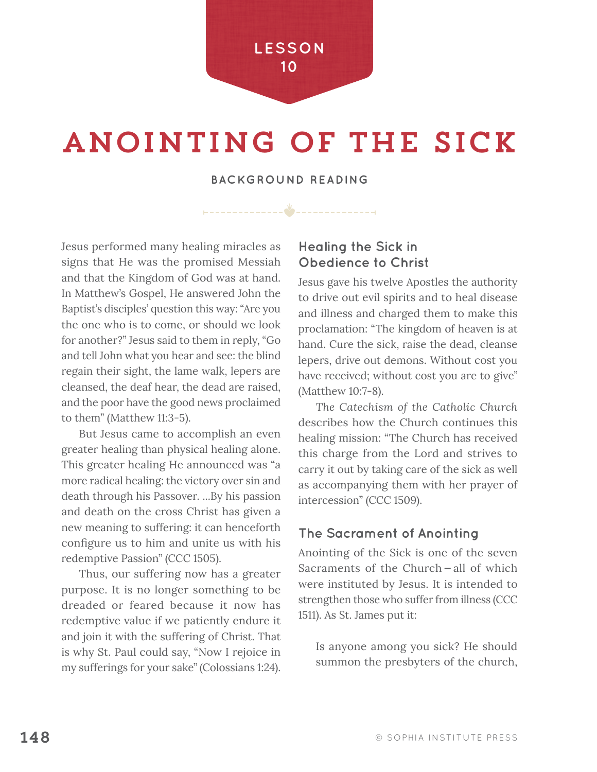# anointing of the sick

#### **BACKGROUND READING**

Y.

Jesus performed many healing miracles as signs that He was the promised Messiah and that the Kingdom of God was at hand. In Matthew's Gospel, He answered John the Baptist's disciples' question this way: "Are you the one who is to come, or should we look for another?" Jesus said to them in reply, "Go and tell John what you hear and see: the blind regain their sight, the lame walk, lepers are cleansed, the deaf hear, the dead are raised, and the poor have the good news proclaimed to them" (Matthew 11:3-5).

But Jesus came to accomplish an even greater healing than physical healing alone. This greater healing He announced was "a more radical healing: the victory over sin and death through his Passover. ...By his passion and death on the cross Christ has given a new meaning to suffering: it can henceforth configure us to him and unite us with his redemptive Passion" (CCC 1505).

Thus, our suffering now has a greater purpose. It is no longer something to be dreaded or feared because it now has redemptive value if we patiently endure it and join it with the suffering of Christ. That is why St. Paul could say, "Now I rejoice in my sufferings for your sake" (Colossians 1:24).

# **Healing the Sick in Obedience to Christ**

Jesus gave his twelve Apostles the authority to drive out evil spirits and to heal disease and illness and charged them to make this proclamation: "The kingdom of heaven is at hand. Cure the sick, raise the dead, cleanse lepers, drive out demons. Without cost you have received; without cost you are to give" (Matthew 10:7-8).

*The Catechism of the Catholic Church*  describes how the Church continues this healing mission: "The Church has received this charge from the Lord and strives to carry it out by taking care of the sick as well as accompanying them with her prayer of intercession" (CCC 1509).

#### **The Sacrament of Anointing**

Anointing of the Sick is one of the seven Sacraments of the Church — all of which were instituted by Jesus. It is intended to strengthen those who suffer from illness (CCC 1511). As St. James put it:

Is anyone among you sick? He should summon the presbyters of the church,